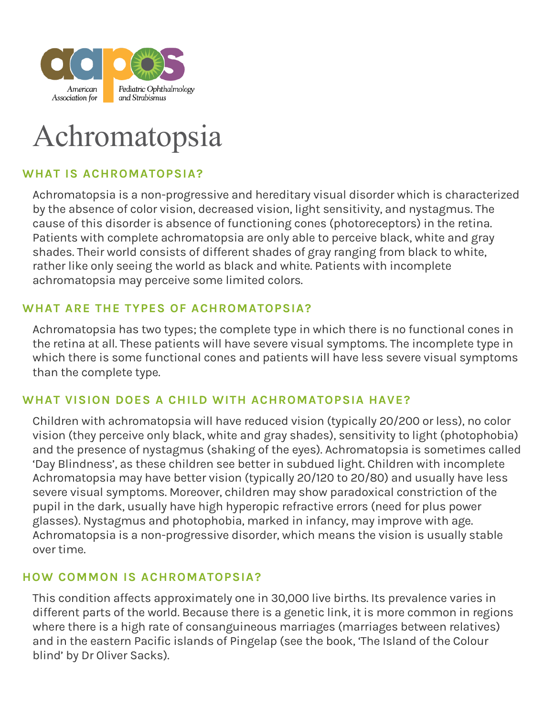

# Achromatopsia

# **WHAT IS ACHROMATOPSIA?**

Achromatopsia is a non-progressive and hereditary visual disorder which is characterized by the absence of color vision, decreased vision, light sensitivity, and nystagmus. The cause of this disorder is absence of functioning cones (photoreceptors) in the retina. Patients with complete achromatopsia are only able to perceive black, white and gray shades. Their world consists of different shades of gray ranging from black to white, rather like only seeing the world as black and white. Patients with incomplete achromatopsia may perceive some limited colors.

#### **WHAT ARE THE TYPES OF ACHROMATOPSIA?**

Achromatopsia has two types; the complete type in which there is no functional cones in the retina at all. These patients will have severe visual symptoms. The incomplete type in which there is some functional cones and patients will have less severe visual symptoms than the complete type.

#### **WHAT VISION DOES A CHILD WITH ACHROMATOPSIA HAVE?**

Children with achromatopsia will have reduced vision (typically 20/200 or less), no color vision (they perceive only black, white and gray shades), sensitivity to light (photophobia) and the presence of nystagmus (shaking of the eyes). Achromatopsia is sometimes called 'Day Blindness', as these children see better in subdued light. Children with incomplete Achromatopsia may have better vision (typically 20/120 to 20/80) and usually have less severe visual symptoms. Moreover, children may show paradoxical constriction of the pupil in the dark, usually have high hyperopic refractive errors (need for plus power glasses). Nystagmus and photophobia, marked in infancy, may improve with age. Achromatopsia is a non-progressive disorder, which means the vision is usually stable over time.

#### **HOW COMMON IS ACHROMATOPSIA?**

This condition affects approximately one in 30,000 live births. Its prevalence varies in different parts of the world. Because there is a genetic link, it is more common in regions where there is a high rate of consanguineous marriages (marriages between relatives) and in the eastern Pacific islands of Pingelap (see the book, 'The Island of the Colour blind' by Dr Oliver Sacks).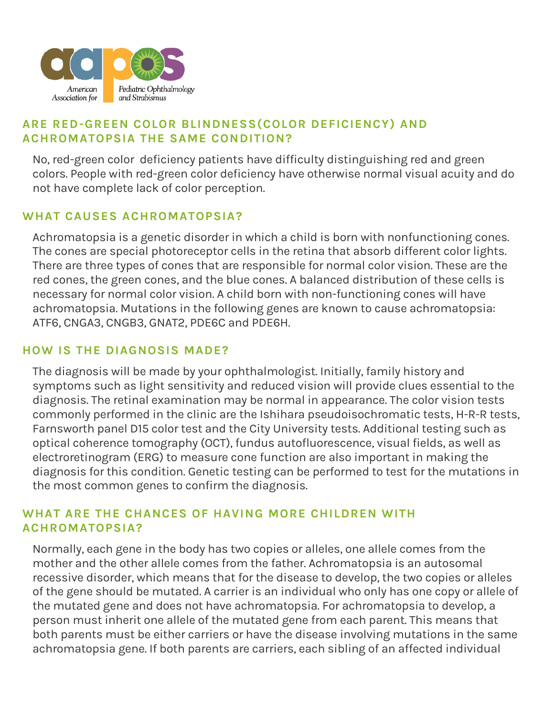

# **ARE RED-GREEN COLOR BLINDNESS(COLOR DEFICIENCY) AND ACHROMATOPSIA THE SAME CONDITION?**

No, red-green color deficiency patients have difficulty distinguishing red and green colors. People with red-green color deficiency have otherwise normal visual acuity and do not have complete lack of color perception.

#### **WHAT CAUSES ACHROMATOPSIA?**

Achromatopsia is a genetic disorder in which a child is born with nonfunctioning cones. The cones are special photoreceptor cells in the retina that absorb different color lights. There are three types of cones that are responsible for normal color vision. These are the red cones, the green cones, and the blue cones. A balanced distribution of these cells is necessary for normal color vision. A child born with non-functioning cones will have achromatopsia. Mutations in the following genes are known to cause achromatopsia: ATF6, CNGA3, CNGB3, GNAT2, PDE6C and PDE6H.

#### **HOW IS THE DIAGNOSIS MADE?**

The diagnosis will be made by your ophthalmologist. Initially, family history and symptoms such as light sensitivity and reduced vision will provide clues essential to the diagnosis. The retinal examination may be normal in appearance. The color vision tests commonly performed in the clinic are the Ishihara pseudoisochromatic tests, H-R-R tests, Farnsworth panel D15 color test and the City University tests. Additional testing such as optical coherence tomography (OCT), fundus autofluorescence, visual fields, as well as electroretinogram (ERG) to measure cone function are also important in making the diagnosis for this condition. Genetic testing can be performed to test for the mutations in the most common genes to confirm the diagnosis.

#### **WHAT ARE THE CHANCES OF HAVING MORE CHILDREN WITH ACHROMATOPSIA?**

Normally, each gene in the body has two copies or alleles, one allele comes from the mother and the other allele comes from the father. Achromatopsia is an autosomal recessive disorder, which means that for the disease to develop, the two copies or alleles of the gene should be mutated. A carrier is an individual who only has one copy or allele of the mutated gene and does not have achromatopsia. For achromatopsia to develop, a person must inherit one allele of the mutated gene from each parent. This means that both parents must be either carriers or have the disease involving mutations in the same achromatopsia gene. If both parents are carriers, each sibling of an affected individual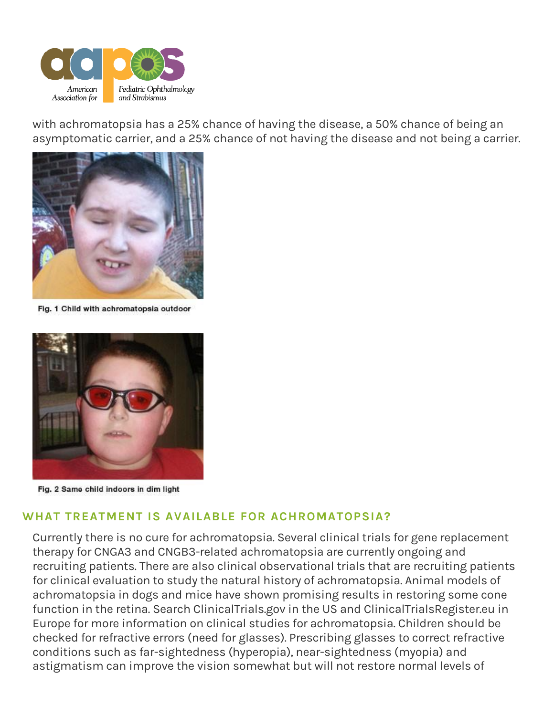

with achromatopsia has a 25% chance of having the disease, a 50% chance of being an asymptomatic carrier, and a 25% chance of not having the disease and not being a carrier.



Fig. 1 Child with achromatopsia outdoor



Fig. 2 Same child indoors in dim light

# **WHAT TREATMENT IS AVAILABLE FOR ACHROMATOPSIA?**

Currently there is no cure for achromatopsia. Several clinical trials for gene replacement therapy for CNGA3 and CNGB3-related achromatopsia are currently ongoing and recruiting patients. There are also clinical observational trials that are recruiting patients for clinical evaluation to study the natural history of achromatopsia. Animal models of achromatopsia in dogs and mice have shown promising results in restoring some cone function in the retina. Search ClinicalTrials.gov in the US and ClinicalTrialsRegister.eu in Europe for more information on clinical studies for achromatopsia. Children should be checked for refractive errors (need for glasses). Prescribing glasses to correct refractive conditions such as far-sightedness (hyperopia), near-sightedness (myopia) and astigmatism can improve the vision somewhat but will not restore normal levels of